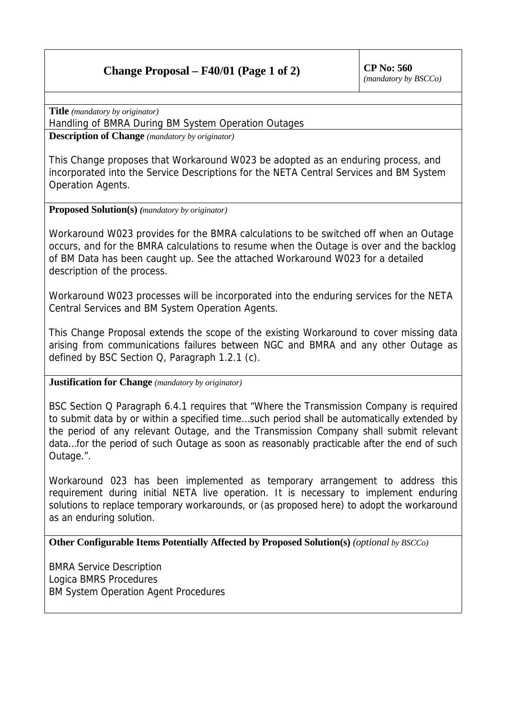# **Change Proposal – F40/01 (Page 1 of 2)** CP No:  $560$

*(mandatory by BSCCo)*

**Title** *(mandatory by originator)*

Handling of BMRA During BM System Operation Outages

**Description of Change** *(mandatory by originator)*

This Change proposes that Workaround W023 be adopted as an enduring process, and incorporated into the Service Descriptions for the NETA Central Services and BM System Operation Agents.

### **Proposed Solution(s)** *(mandatory by originator)*

Workaround W023 provides for the BMRA calculations to be switched off when an Outage occurs, and for the BMRA calculations to resume when the Outage is over and the backlog of BM Data has been caught up. See the attached Workaround W023 for a detailed description of the process.

Workaround W023 processes will be incorporated into the enduring services for the NETA Central Services and BM System Operation Agents.

This Change Proposal extends the scope of the existing Workaround to cover missing data arising from communications failures between NGC and BMRA and any other Outage as defined by BSC Section Q, Paragraph 1.2.1 (c).

#### **Justification for Change** *(mandatory by originator)*

BSC Section Q Paragraph 6.4.1 requires that "Where the Transmission Company is required to submit data by or within a specified time…such period shall be automatically extended by the period of any relevant Outage, and the Transmission Company shall submit relevant data…for the period of such Outage as soon as reasonably practicable after the end of such Outage.".

Workaround 023 has been implemented as temporary arrangement to address this requirement during initial NETA live operation. It is necessary to implement enduring solutions to replace temporary workarounds, or (as proposed here) to adopt the workaround as an enduring solution.

**Other Configurable Items Potentially Affected by Proposed Solution(s)** *(optional by BSCCo)*

BMRA Service Description Logica BMRS Procedures BM System Operation Agent Procedures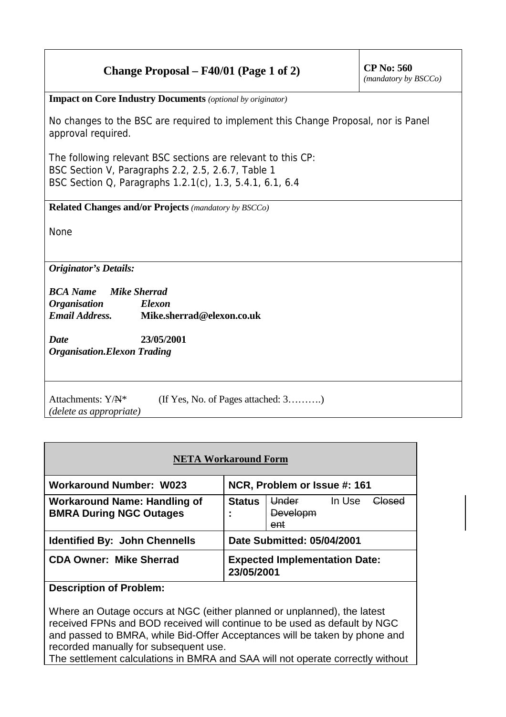# **Change Proposal – F40/01 (Page 1 of 2)** CP No:  $560$

*(mandatory by BSCCo)*

**Impact on Core Industry Documents** *(optional by originator)*

No changes to the BSC are required to implement this Change Proposal, nor is Panel approval required.

The following relevant BSC sections are relevant to this CP: BSC Section V, Paragraphs 2.2, 2.5, 2.6.7, Table 1 BSC Section Q, Paragraphs 1.2.1(c), 1.3, 5.4.1, 6.1, 6.4

**Related Changes and/or Projects** *(mandatory by BSCCo)*

None

*Originator's Details:*

*BCA Name Mike Sherrad Organisation Elexon Email Address.* **Mike.sherrad@elexon.co.uk**

*Date* **23/05/2001** *Organisation.Elexon Trading*

Attachments: Y/ $A^*$  (If Yes, No. of Pages attached: 3……….) *(delete as appropriate)*

| <b>NETA Workaround Form</b>                                           |                                                    |                                   |        |        |  |  |
|-----------------------------------------------------------------------|----------------------------------------------------|-----------------------------------|--------|--------|--|--|
| <b>Workaround Number: W023</b>                                        |                                                    | NCR, Problem or Issue #: 161      |        |        |  |  |
| <b>Workaround Name: Handling of</b><br><b>BMRA During NGC Outages</b> | <b>Status</b>                                      | Under<br>Developm<br>ent          | In Use | عمعملك |  |  |
| <b>Identified By: John Chennells</b>                                  |                                                    | <b>Date Submitted: 05/04/2001</b> |        |        |  |  |
| <b>CDA Owner: Mike Sherrad</b>                                        | <b>Expected Implementation Date:</b><br>23/05/2001 |                                   |        |        |  |  |
| <b>Description of Problem:</b>                                        |                                                    |                                   |        |        |  |  |

Where an Outage occurs at NGC (either planned or unplanned), the latest received FPNs and BOD received will continue to be used as default by NGC and passed to BMRA, while Bid-Offer Acceptances will be taken by phone and recorded manually for subsequent use.

The settlement calculations in BMRA and SAA will not operate correctly without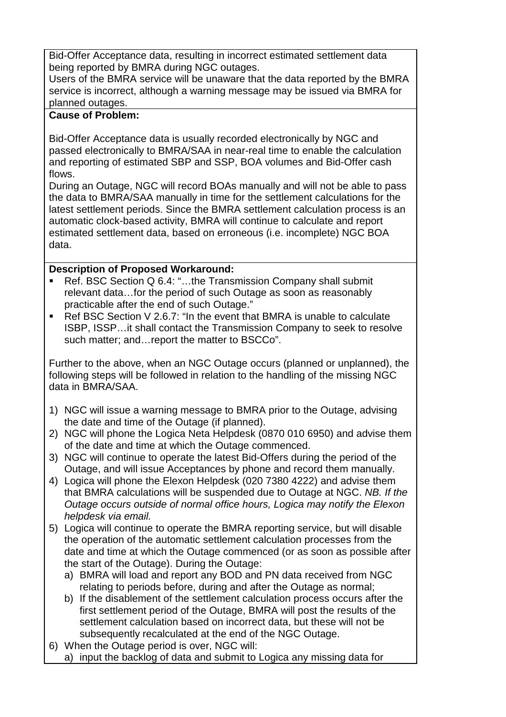Bid-Offer Acceptance data, resulting in incorrect estimated settlement data being reported by BMRA during NGC outages.

Users of the BMRA service will be unaware that the data reported by the BMRA service is incorrect, although a warning message may be issued via BMRA for planned outages.

#### **Cause of Problem:**

Bid-Offer Acceptance data is usually recorded electronically by NGC and passed electronically to BMRA/SAA in near-real time to enable the calculation and reporting of estimated SBP and SSP, BOA volumes and Bid-Offer cash flows.

During an Outage, NGC will record BOAs manually and will not be able to pass the data to BMRA/SAA manually in time for the settlement calculations for the latest settlement periods. Since the BMRA settlement calculation process is an automatic clock-based activity, BMRA will continue to calculate and report estimated settlement data, based on erroneous (i.e. incomplete) NGC BOA data.

## **Description of Proposed Workaround:**

- Ref. BSC Section Q 6.4: "...the Transmission Company shall submit relevant data…for the period of such Outage as soon as reasonably practicable after the end of such Outage."
- Ref BSC Section V 2.6.7: "In the event that BMRA is unable to calculate ISBP, ISSP…it shall contact the Transmission Company to seek to resolve such matter; and…report the matter to BSCCo".

Further to the above, when an NGC Outage occurs (planned or unplanned), the following steps will be followed in relation to the handling of the missing NGC data in BMRA/SAA.

- 1) NGC will issue a warning message to BMRA prior to the Outage, advising the date and time of the Outage (if planned).
- 2) NGC will phone the Logica Neta Helpdesk (0870 010 6950) and advise them of the date and time at which the Outage commenced.
- 3) NGC will continue to operate the latest Bid-Offers during the period of the Outage, and will issue Acceptances by phone and record them manually.
- 4) Logica will phone the Elexon Helpdesk (020 7380 4222) and advise them that BMRA calculations will be suspended due to Outage at NGC. *NB. If the Outage occurs outside of normal office hours, Logica may notify the Elexon helpdesk via email.*
- 5) Logica will continue to operate the BMRA reporting service, but will disable the operation of the automatic settlement calculation processes from the date and time at which the Outage commenced (or as soon as possible after the start of the Outage). During the Outage:
	- a) BMRA will load and report any BOD and PN data received from NGC relating to periods before, during and after the Outage as normal;
	- b) If the disablement of the settlement calculation process occurs after the first settlement period of the Outage, BMRA will post the results of the settlement calculation based on incorrect data, but these will not be subsequently recalculated at the end of the NGC Outage.
- 6) When the Outage period is over, NGC will: a) input the backlog of data and submit to Logica any missing data for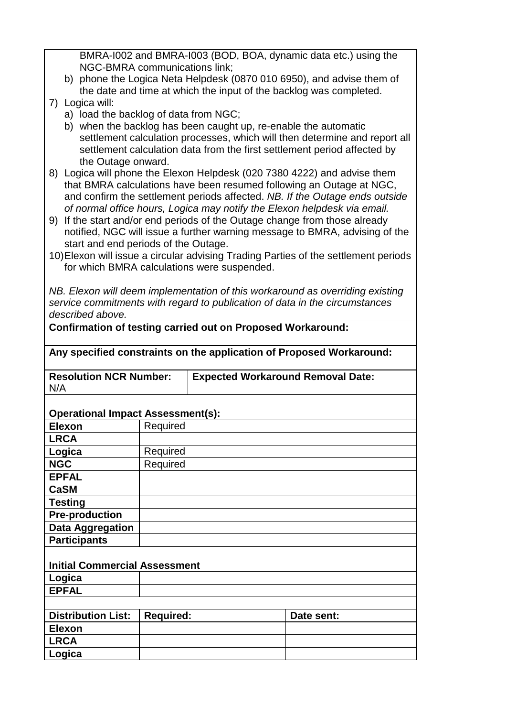BMRA-I002 and BMRA-I003 (BOD, BOA, dynamic data etc.) using the NGC-BMRA communications link;

- b) phone the Logica Neta Helpdesk (0870 010 6950), and advise them of the date and time at which the input of the backlog was completed.
- 7) Logica will:
	- a) load the backlog of data from NGC;
	- b) when the backlog has been caught up, re-enable the automatic settlement calculation processes, which will then determine and report all settlement calculation data from the first settlement period affected by the Outage onward.
- 8) Logica will phone the Elexon Helpdesk (020 7380 4222) and advise them that BMRA calculations have been resumed following an Outage at NGC, and confirm the settlement periods affected. *NB. If the Outage ends outside of normal office hours, Logica may notify the Elexon helpdesk via email.*
- 9) If the start and/or end periods of the Outage change from those already notified, NGC will issue a further warning message to BMRA, advising of the start and end periods of the Outage.
- 10) Elexon will issue a circular advising Trading Parties of the settlement periods for which BMRA calculations were suspended.

*NB. Elexon will deem implementation of this workaround as overriding existing service commitments with regard to publication of data in the circumstances described above.*

**Confirmation of testing carried out on Proposed Workaround:**

| Any specified constraints on the application of Proposed Workaround: |                  |                                          |            |  |  |  |
|----------------------------------------------------------------------|------------------|------------------------------------------|------------|--|--|--|
| <b>Resolution NCR Number:</b><br>N/A                                 |                  | <b>Expected Workaround Removal Date:</b> |            |  |  |  |
|                                                                      |                  |                                          |            |  |  |  |
| <b>Operational Impact Assessment(s):</b>                             |                  |                                          |            |  |  |  |
| <b>Elexon</b>                                                        | Required         |                                          |            |  |  |  |
| <b>LRCA</b>                                                          |                  |                                          |            |  |  |  |
| Logica                                                               | Required         |                                          |            |  |  |  |
| <b>NGC</b>                                                           | Required         |                                          |            |  |  |  |
| <b>EPFAL</b>                                                         |                  |                                          |            |  |  |  |
| <b>CaSM</b>                                                          |                  |                                          |            |  |  |  |
| <b>Testing</b>                                                       |                  |                                          |            |  |  |  |
| <b>Pre-production</b>                                                |                  |                                          |            |  |  |  |
| <b>Data Aggregation</b>                                              |                  |                                          |            |  |  |  |
| <b>Participants</b>                                                  |                  |                                          |            |  |  |  |
|                                                                      |                  |                                          |            |  |  |  |
| <b>Initial Commercial Assessment</b>                                 |                  |                                          |            |  |  |  |
|                                                                      |                  |                                          |            |  |  |  |
| Logica                                                               |                  |                                          |            |  |  |  |
| <b>EPFAL</b>                                                         |                  |                                          |            |  |  |  |
|                                                                      |                  |                                          |            |  |  |  |
| <b>Distribution List:</b>                                            | <b>Required:</b> |                                          | Date sent: |  |  |  |
| <b>Elexon</b>                                                        |                  |                                          |            |  |  |  |
| <b>LRCA</b>                                                          |                  |                                          |            |  |  |  |
| Logica                                                               |                  |                                          |            |  |  |  |